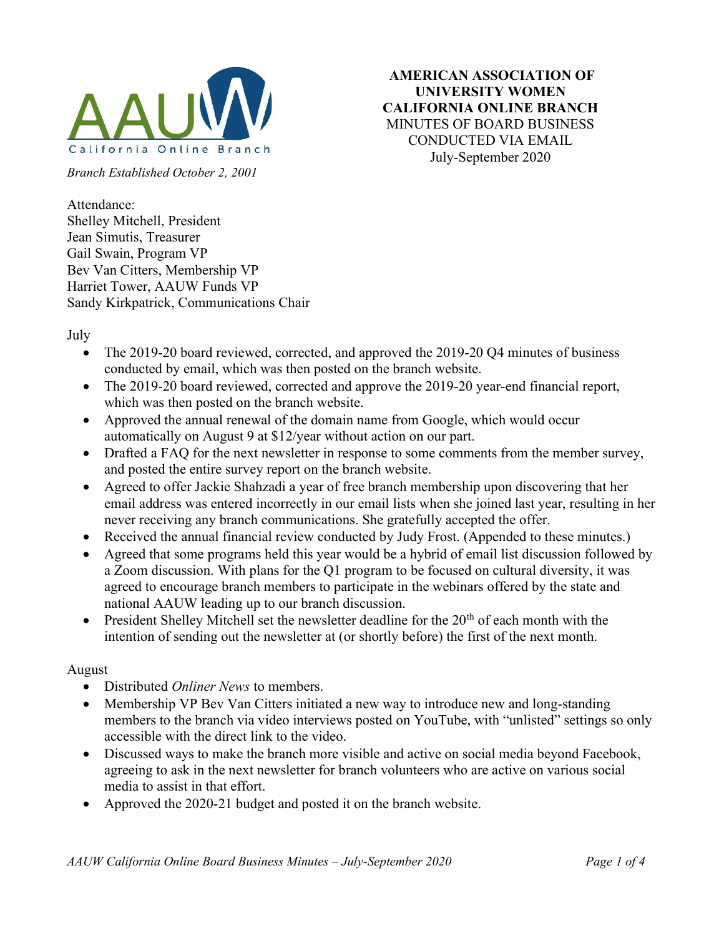

UNIVERSITY WOMEN CALIFORNIA ONLINE BRANCH MINUTES OF BOARD BUSINESS CONDUCTED VIA EMAIL July-September 2020

AMERICAN ASSOCIATION OF

Branch Established October 2, 2001

Attendance: Shelley Mitchell, President Jean Simutis, Treasurer Gail Swain, Program VP Bev Van Citters, Membership VP Harriet Tower, AAUW Funds VP Sandy Kirkpatrick, Communications Chair

July

- The 2019-20 board reviewed, corrected, and approved the 2019-20 Q4 minutes of business conducted by email, which was then posted on the branch website.
- The 2019-20 board reviewed, corrected and approve the 2019-20 year-end financial report, which was then posted on the branch website.
- Approved the annual renewal of the domain name from Google, which would occur automatically on August 9 at \$12/year without action on our part.
- Drafted a FAQ for the next newsletter in response to some comments from the member survey, and posted the entire survey report on the branch website.
- Agreed to offer Jackie Shahzadi a year of free branch membership upon discovering that her email address was entered incorrectly in our email lists when she joined last year, resulting in her never receiving any branch communications. She gratefully accepted the offer.
- Received the annual financial review conducted by Judy Frost. (Appended to these minutes.)
- Agreed that some programs held this year would be a hybrid of email list discussion followed by a Zoom discussion. With plans for the Q1 program to be focused on cultural diversity, it was agreed to encourage branch members to participate in the webinars offered by the state and national AAUW leading up to our branch discussion.
- President Shelley Mitchell set the newsletter deadline for the  $20<sup>th</sup>$  of each month with the intention of sending out the newsletter at (or shortly before) the first of the next month.

## August

- Distributed *Onliner News* to members.
- Membership VP Bev Van Citters initiated a new way to introduce new and long-standing members to the branch via video interviews posted on YouTube, with "unlisted" settings so only accessible with the direct link to the video.
- Discussed ways to make the branch more visible and active on social media beyond Facebook, agreeing to ask in the next newsletter for branch volunteers who are active on various social media to assist in that effort.
- Approved the 2020-21 budget and posted it on the branch website.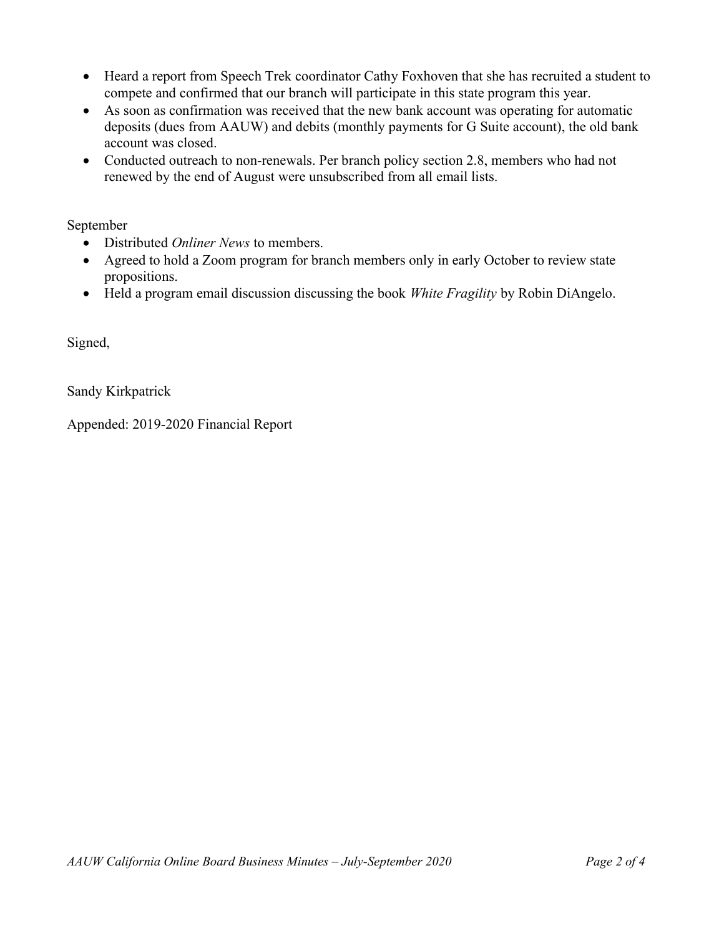- Heard a report from Speech Trek coordinator Cathy Foxhoven that she has recruited a student to compete and confirmed that our branch will participate in this state program this year.
- As soon as confirmation was received that the new bank account was operating for automatic deposits (dues from AAUW) and debits (monthly payments for G Suite account), the old bank account was closed.
- Conducted outreach to non-renewals. Per branch policy section 2.8, members who had not renewed by the end of August were unsubscribed from all email lists.

September

- Distributed Onliner News to members.
- Agreed to hold a Zoom program for branch members only in early October to review state propositions.
- Held a program email discussion discussing the book White Fragility by Robin DiAngelo.

Signed,

Sandy Kirkpatrick

Appended: 2019-2020 Financial Report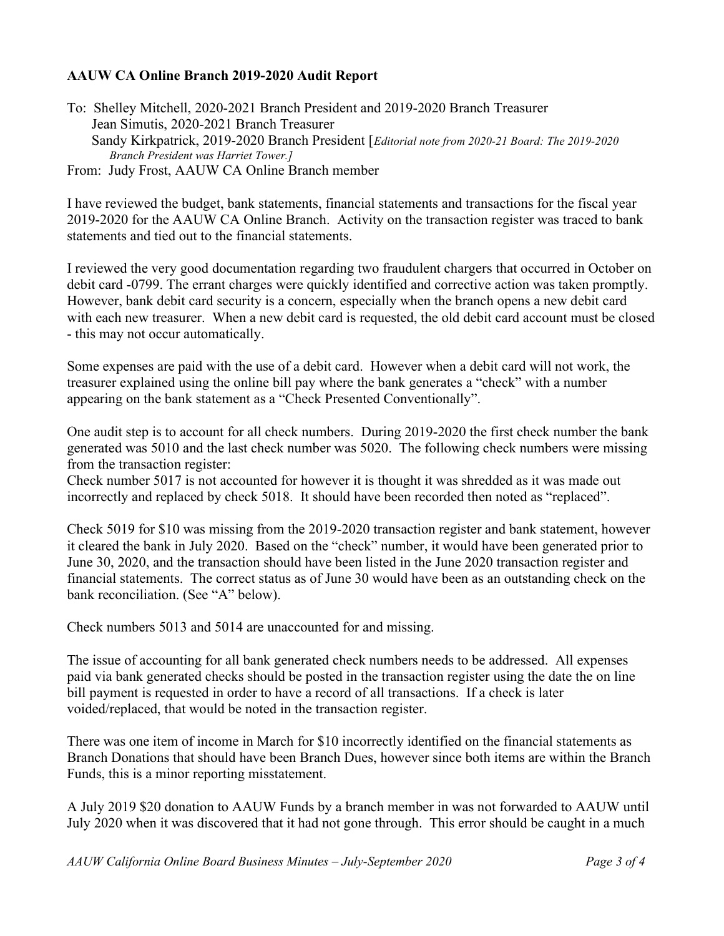## AAUW CA Online Branch 2019-2020 Audit Report

To: Shelley Mitchell, 2020-2021 Branch President and 2019-2020 Branch Treasurer Jean Simutis, 2020-2021 Branch Treasurer Sandy Kirkpatrick, 2019-2020 Branch President [Editorial note from 2020-21 Board: The 2019-2020 Branch President was Harriet Tower.]

From: Judy Frost, AAUW CA Online Branch member

I have reviewed the budget, bank statements, financial statements and transactions for the fiscal year 2019-2020 for the AAUW CA Online Branch. Activity on the transaction register was traced to bank statements and tied out to the financial statements.

I reviewed the very good documentation regarding two fraudulent chargers that occurred in October on debit card -0799. The errant charges were quickly identified and corrective action was taken promptly. However, bank debit card security is a concern, especially when the branch opens a new debit card with each new treasurer. When a new debit card is requested, the old debit card account must be closed - this may not occur automatically.

Some expenses are paid with the use of a debit card. However when a debit card will not work, the treasurer explained using the online bill pay where the bank generates a "check" with a number appearing on the bank statement as a "Check Presented Conventionally".

One audit step is to account for all check numbers. During 2019-2020 the first check number the bank generated was 5010 and the last check number was 5020. The following check numbers were missing from the transaction register:

Check number 5017 is not accounted for however it is thought it was shredded as it was made out incorrectly and replaced by check 5018. It should have been recorded then noted as "replaced".

Check 5019 for \$10 was missing from the 2019-2020 transaction register and bank statement, however it cleared the bank in July 2020. Based on the "check" number, it would have been generated prior to June 30, 2020, and the transaction should have been listed in the June 2020 transaction register and financial statements. The correct status as of June 30 would have been as an outstanding check on the bank reconciliation. (See "A" below).

Check numbers 5013 and 5014 are unaccounted for and missing.

The issue of accounting for all bank generated check numbers needs to be addressed. All expenses paid via bank generated checks should be posted in the transaction register using the date the on line bill payment is requested in order to have a record of all transactions. If a check is later voided/replaced, that would be noted in the transaction register.

There was one item of income in March for \$10 incorrectly identified on the financial statements as Branch Donations that should have been Branch Dues, however since both items are within the Branch Funds, this is a minor reporting misstatement.

A July 2019 \$20 donation to AAUW Funds by a branch member in was not forwarded to AAUW until July 2020 when it was discovered that it had not gone through. This error should be caught in a much